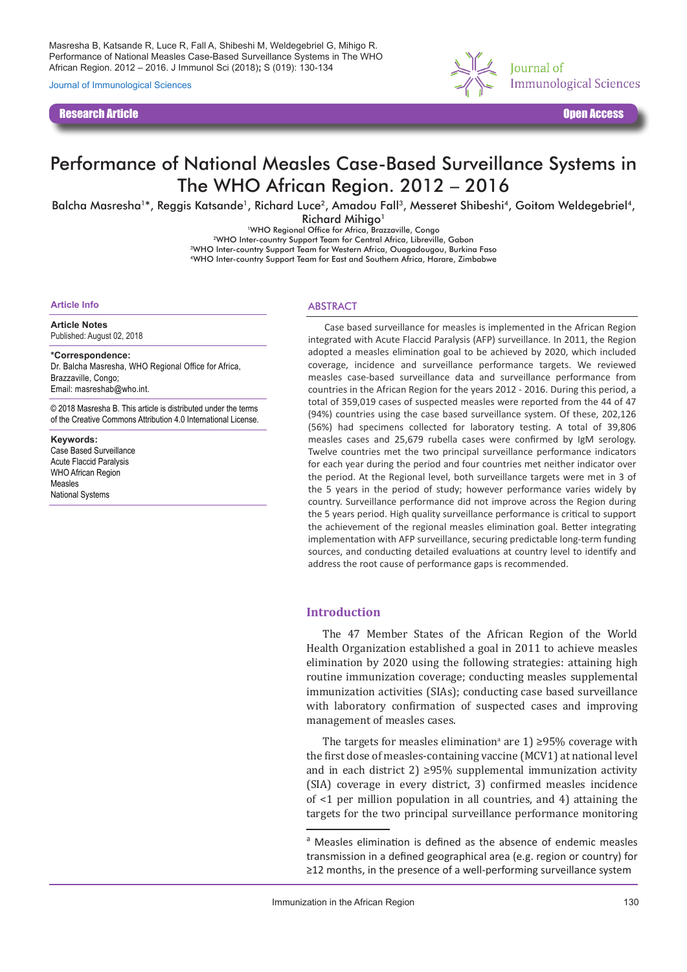Masresha B, Katsande R, Luce R, Fall A, Shibeshi M, Weldegebriel G, Mihigo R. Performance of National Measles Case-Based Surveillance Systems in The WHO African Region. 2012 – 2016. J Immunol Sci (2018)**;** S (019): 130-134

Journal of Immunological Sciences

Research Article Open Access



# Performance of National Measles Case-Based Surveillance Systems in The WHO African Region. 2012 – 2016

Balcha Masresha<sup>1\*</sup>, Reggis Katsande<sup>1</sup>, Richard Luce<sup>2</sup>, Amadou Fall<sup>3</sup>, Messeret Shibeshi<sup>4</sup>, Goitom Weldegebriel<sup>4</sup>,

Richard Mihigo<sup>1</sup>

<sup>1</sup>WHO Regional Office for Africa, Brazzaville, Congo 2WHO Inter-country Support Team for Central Africa, Libreville, Gabon 3WHO Inter-country Support Team for Western Africa, Ouagadougou, Burkina Faso

4WHO Inter-country Support Team for East and Southern Africa, Harare, Zimbabwe

#### **Article Info**

**Article Notes** Published: August 02, 2018

**\*Correspondence:** Dr. Balcha Masresha, WHO Regional Office for Africa, Brazzaville, Congo; Email: masreshab@who.int.

© 2018 Masresha B. This article is distributed under the terms of the Creative Commons Attribution 4.0 International License.

**Keywords:** Case Based Surveillance Acute Flaccid Paralysis WHO African Region Measles National Systems

### **ABSTRACT**

Case based surveillance for measles is implemented in the African Region integrated with Acute Flaccid Paralysis (AFP) surveillance. In 2011, the Region adopted a measles elimination goal to be achieved by 2020, which included coverage, incidence and surveillance performance targets. We reviewed measles case-based surveillance data and surveillance performance from countries in the African Region for the years 2012 - 2016. During this period, a total of 359,019 cases of suspected measles were reported from the 44 of 47 (94%) countries using the case based surveillance system. Of these, 202,126 (56%) had specimens collected for laboratory testing. A total of 39,806 measles cases and 25,679 rubella cases were confirmed by IgM serology. Twelve countries met the two principal surveillance performance indicators for each year during the period and four countries met neither indicator over the period. At the Regional level, both surveillance targets were met in 3 of the 5 years in the period of study; however performance varies widely by country. Surveillance performance did not improve across the Region during the 5 years period. High quality surveillance performance is critical to support the achievement of the regional measles elimination goal. Better integrating implementation with AFP surveillance, securing predictable long-term funding sources, and conducting detailed evaluations at country level to identify and address the root cause of performance gaps is recommended.

# **Introduction**

The 47 Member States of the African Region of the World Health Organization established a goal in 2011 to achieve measles elimination by 2020 using the following strategies: attaining high routine immunization coverage; conducting measles supplemental immunization activities (SIAs); conducting case based surveillance with laboratory confirmation of suspected cases and improving management of measles cases.

The targets for measles elimination<sup>a</sup> are  $1$ ) ≥95% coverage with the first dose of measles-containing vaccine (MCV1) at national level and in each district 2)  $\geq$ 95% supplemental immunization activity (SIA) coverage in every district, 3) confirmed measles incidence of <1 per million population in all countries, and 4) attaining the targets for the two principal surveillance performance monitoring

a Measles elimination is defined as the absence of endemic measles transmission in a defined geographical area (e.g. region or country) for ≥12 months, in the presence of a well-performing surveillance system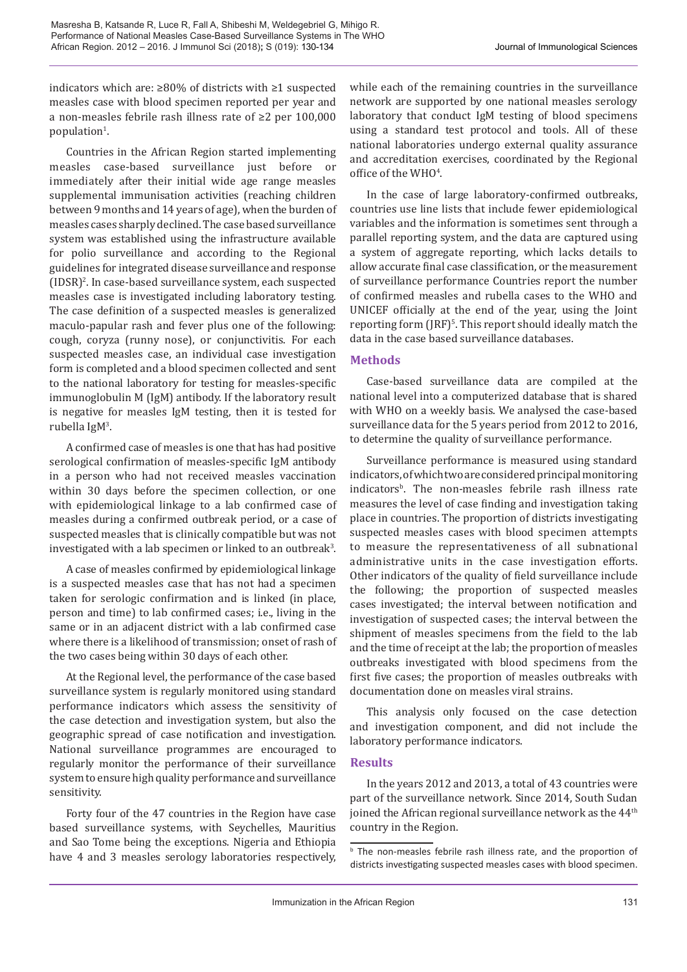indicators which are: ≥80% of districts with ≥1 suspected measles case with blood specimen reported per year and a non-measles febrile rash illness rate of ≥2 per 100,000 population<sup>1</sup>.

Countries in the African Region started implementing measles case-based surveillance just before or immediately after their initial wide age range measles supplemental immunisation activities (reaching children between 9 months and 14 years of age), when the burden of measles cases sharply declined. The case based surveillance system was established using the infrastructure available for polio surveillance and according to the Regional guidelines for integrated disease surveillance and response (IDSR)2 . In case-based surveillance system, each suspected measles case is investigated including laboratory testing. The case definition of a suspected measles is generalized maculo-papular rash and fever plus one of the following: cough, coryza (runny nose), or conjunctivitis. For each suspected measles case, an individual case investigation form is completed and a blood specimen collected and sent to the national laboratory for testing for measles-specific immunoglobulin M (IgM) antibody. If the laboratory result is negative for measles IgM testing, then it is tested for rubella IgM<sup>3</sup>.

A confirmed case of measles is one that has had positive serological confirmation of measles-specific IgM antibody in a person who had not received measles vaccination within 30 days before the specimen collection, or one with epidemiological linkage to a lab confirmed case of measles during a confirmed outbreak period, or a case of suspected measles that is clinically compatible but was not investigated with a lab specimen or linked to an outbreak<sup>3</sup>.

A case of measles confirmed by epidemiological linkage is a suspected measles case that has not had a specimen taken for serologic confirmation and is linked (in place, person and time) to lab confirmed cases; i.e., living in the same or in an adjacent district with a lab confirmed case where there is a likelihood of transmission; onset of rash of the two cases being within 30 days of each other.

At the Regional level, the performance of the case based surveillance system is regularly monitored using standard performance indicators which assess the sensitivity of the case detection and investigation system, but also the geographic spread of case notification and investigation. National surveillance programmes are encouraged to regularly monitor the performance of their surveillance system to ensure high quality performance and surveillance sensitivity.

Forty four of the 47 countries in the Region have case based surveillance systems, with Seychelles, Mauritius and Sao Tome being the exceptions. Nigeria and Ethiopia have 4 and 3 measles serology laboratories respectively, while each of the remaining countries in the surveillance network are supported by one national measles serology laboratory that conduct IgM testing of blood specimens using a standard test protocol and tools. All of these national laboratories undergo external quality assurance and accreditation exercises, coordinated by the Regional office of the  $WHO<sup>4</sup>$ .

In the case of large laboratory-confirmed outbreaks, countries use line lists that include fewer epidemiological variables and the information is sometimes sent through a parallel reporting system, and the data are captured using a system of aggregate reporting, which lacks details to allow accurate final case classification, or the measurement of surveillance performance Countries report the number of confirmed measles and rubella cases to the WHO and UNICEF officially at the end of the year, using the Joint reporting form (JRF)<sup>5</sup>. This report should ideally match the data in the case based surveillance databases.

# **Methods**

Case-based surveillance data are compiled at the national level into a computerized database that is shared with WHO on a weekly basis. We analysed the case-based surveillance data for the 5 years period from 2012 to 2016, to determine the quality of surveillance performance.

Surveillance performance is measured using standard indicators, of which two are considered principal monitoring indicators<sup>B</sup>. The non-measles febrile rash illness rate measures the level of case finding and investigation taking place in countries. The proportion of districts investigating suspected measles cases with blood specimen attempts to measure the representativeness of all subnational administrative units in the case investigation efforts. Other indicators of the quality of field surveillance include the following; the proportion of suspected measles cases investigated; the interval between notification and investigation of suspected cases; the interval between the shipment of measles specimens from the field to the lab and the time of receipt at the lab; the proportion of measles outbreaks investigated with blood specimens from the first five cases; the proportion of measles outbreaks with documentation done on measles viral strains.

This analysis only focused on the case detection and investigation component, and did not include the laboratory performance indicators.

# **Results**

In the years 2012 and 2013, a total of 43 countries were part of the surveillance network. Since 2014, South Sudan joined the African regional surveillance network as the 44<sup>th</sup> country in the Region.

**b** The non-measles febrile rash illness rate, and the proportion of districts investigating suspected measles cases with blood specimen.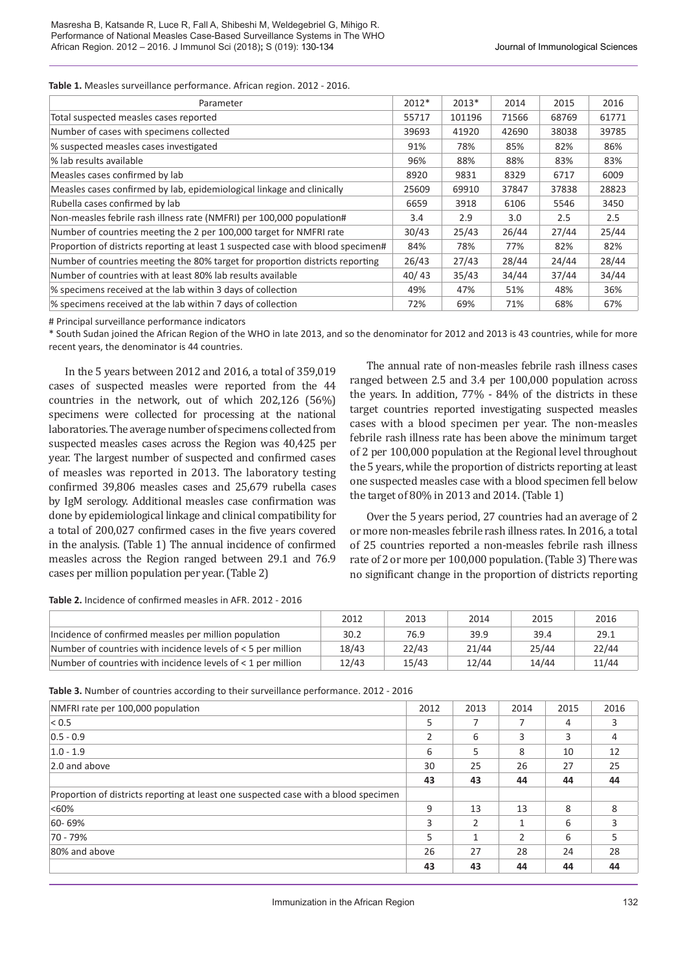**Table 1.** Measles surveillance performance. African region. 2012 - 2016.

| Parameter                                                                        | $2012*$ | 2013*  | 2014  | 2015  | 2016  |
|----------------------------------------------------------------------------------|---------|--------|-------|-------|-------|
| Total suspected measles cases reported                                           | 55717   | 101196 | 71566 | 68769 | 61771 |
| Number of cases with specimens collected                                         | 39693   | 41920  | 42690 | 38038 | 39785 |
| % suspected measles cases investigated                                           | 91%     | 78%    | 85%   | 82%   | 86%   |
| % lab results available                                                          | 96%     | 88%    | 88%   | 83%   | 83%   |
| Measles cases confirmed by lab                                                   | 8920    | 9831   | 8329  | 6717  | 6009  |
| Measles cases confirmed by lab, epidemiological linkage and clinically           | 25609   | 69910  | 37847 | 37838 | 28823 |
| Rubella cases confirmed by lab                                                   | 6659    | 3918   | 6106  | 5546  | 3450  |
| Non-measles febrile rash illness rate (NMFRI) per 100,000 population#            | 3.4     | 2.9    | 3.0   | 2.5   | 2.5   |
| Number of countries meeting the 2 per 100,000 target for NMFRI rate              | 30/43   | 25/43  | 26/44 | 27/44 | 25/44 |
| Proportion of districts reporting at least 1 suspected case with blood specimen# | 84%     | 78%    | 77%   | 82%   | 82%   |
| Number of countries meeting the 80% target for proportion districts reporting    | 26/43   | 27/43  | 28/44 | 24/44 | 28/44 |
| Number of countries with at least 80% lab results available                      | 40/43   | 35/43  | 34/44 | 37/44 | 34/44 |
| % specimens received at the lab within 3 days of collection                      | 49%     | 47%    | 51%   | 48%   | 36%   |
| % specimens received at the lab within 7 days of collection                      | 72%     | 69%    | 71%   | 68%   | 67%   |

# Principal surveillance performance indicators

\* South Sudan joined the African Region of the WHO in late 2013, and so the denominator for 2012 and 2013 is 43 countries, while for more recent years, the denominator is 44 countries.

In the 5 years between 2012 and 2016, a total of 359,019 cases of suspected measles were reported from the 44 countries in the network, out of which 202,126 (56%) specimens were collected for processing at the national laboratories. The average number of specimens collected from suspected measles cases across the Region was 40,425 per year. The largest number of suspected and confirmed cases of measles was reported in 2013. The laboratory testing confirmed 39,806 measles cases and 25,679 rubella cases by IgM serology. Additional measles case confirmation was done by epidemiological linkage and clinical compatibility for a total of 200,027 confirmed cases in the five years covered in the analysis. (Table 1) The annual incidence of confirmed measles across the Region ranged between 29.1 and 76.9 cases per million population per year. (Table 2)

The annual rate of non-measles febrile rash illness cases ranged between 2.5 and 3.4 per 100,000 population across the years. In addition, 77% - 84% of the districts in these target countries reported investigating suspected measles cases with a blood specimen per year. The non-measles febrile rash illness rate has been above the minimum target of 2 per 100,000 population at the Regional level throughout the 5 years, while the proportion of districts reporting at least one suspected measles case with a blood specimen fell below the target of 80% in 2013 and 2014. (Table 1)

Over the 5 years period, 27 countries had an average of 2 or more non-measles febrile rash illness rates. In 2016, a total of 25 countries reported a non-measles febrile rash illness rate of 2 or more per 100,000 population. (Table 3) There was no significant change in the proportion of districts reporting

**Table 2.** Incidence of confirmed measles in AFR. 2012 - 2016

|                                                                   | 2012  | 2013  | 2014  | 2015  | 2016  |
|-------------------------------------------------------------------|-------|-------|-------|-------|-------|
| Incidence of confirmed measles per million population             | 30.2  | 76.9  | 39.9  | 39.4  | 29.1  |
| Number of countries with incidence levels of $\leq$ 5 per million | 18/43 | 22/43 | 21/44 | 25/44 | 22/44 |
| Number of countries with incidence levels of $\leq 1$ per million | 12/43 | 15/43 | 12/44 | 14/44 | 11/44 |

**Table 3.** Number of countries according to their surveillance performance. 2012 - 2016

| NMFRI rate per 100,000 population                                                   | 2012 | 2013 | 2014          | 2015 | 2016 |
|-------------------------------------------------------------------------------------|------|------|---------------|------|------|
| < 0.5                                                                               | 5    | 7    | 7             | 4    | 3    |
| $0.5 - 0.9$                                                                         |      | 6    | 3             | 3    | 4    |
| $1.0 - 1.9$                                                                         | 6    | 5    | 8             | 10   | 12   |
| 2.0 and above                                                                       | 30   | 25   | 26            | 27   | 25   |
|                                                                                     | 43   | 43   | 44            | 44   | 44   |
| Proportion of districts reporting at least one suspected case with a blood specimen |      |      |               |      |      |
| $<60\%$                                                                             | 9    | 13   | 13            | 8    | 8    |
| 60-69%                                                                              | 3    | 2    |               | 6    | 3    |
| 70 - 79%                                                                            | 5    |      | $\mathcal{P}$ | 6    | 5    |
| 80% and above                                                                       | 26   | 27   | 28            | 24   | 28   |
|                                                                                     | 43   | 43   | 44            | 44   | 44   |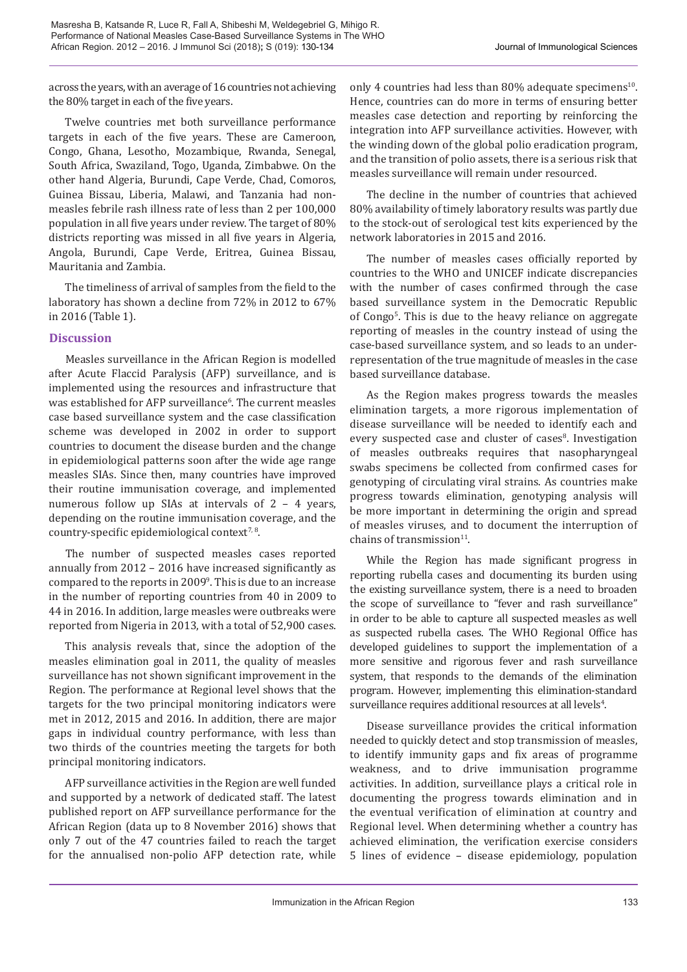across the years, with an average of 16 countries not achieving the 80% target in each of the five years.

Twelve countries met both surveillance performance targets in each of the five years. These are Cameroon, Congo, Ghana, Lesotho, Mozambique, Rwanda, Senegal, South Africa, Swaziland, Togo, Uganda, Zimbabwe. On the other hand Algeria, Burundi, Cape Verde, Chad, Comoros, Guinea Bissau, Liberia, Malawi, and Tanzania had nonmeasles febrile rash illness rate of less than 2 per 100,000 population in all five years under review. The target of 80% districts reporting was missed in all five years in Algeria, Angola, Burundi, Cape Verde, Eritrea, Guinea Bissau, Mauritania and Zambia.

The timeliness of arrival of samples from the field to the laboratory has shown a decline from 72% in 2012 to 67% in 2016 (Table 1).

# **Discussion**

Measles surveillance in the African Region is modelled after Acute Flaccid Paralysis (AFP) surveillance, and is implemented using the resources and infrastructure that was established for AFP surveillance<sup>6</sup>. The current measles case based surveillance system and the case classification scheme was developed in 2002 in order to support countries to document the disease burden and the change in epidemiological patterns soon after the wide age range measles SIAs. Since then, many countries have improved their routine immunisation coverage, and implemented numerous follow up SIAs at intervals of 2 – 4 years, depending on the routine immunisation coverage, and the country-specific epidemiological context<sup>7,8</sup>.

The number of suspected measles cases reported annually from 2012 – 2016 have increased significantly as compared to the reports in 20099 . This is due to an increase in the number of reporting countries from 40 in 2009 to 44 in 2016. In addition, large measles were outbreaks were reported from Nigeria in 2013, with a total of 52,900 cases.

This analysis reveals that, since the adoption of the measles elimination goal in 2011, the quality of measles surveillance has not shown significant improvement in the Region. The performance at Regional level shows that the targets for the two principal monitoring indicators were met in 2012, 2015 and 2016. In addition, there are major gaps in individual country performance, with less than two thirds of the countries meeting the targets for both principal monitoring indicators.

AFP surveillance activities in the Region are well funded and supported by a network of dedicated staff. The latest published report on AFP surveillance performance for the African Region (data up to 8 November 2016) shows that only 7 out of the 47 countries failed to reach the target for the annualised non-polio AFP detection rate, while

only 4 countries had less than  $80\%$  adequate specimens<sup>10</sup>. Hence, countries can do more in terms of ensuring better measles case detection and reporting by reinforcing the integration into AFP surveillance activities. However, with the winding down of the global polio eradication program, and the transition of polio assets, there is a serious risk that measles surveillance will remain under resourced.

The decline in the number of countries that achieved 80% availability of timely laboratory results was partly due to the stock-out of serological test kits experienced by the network laboratories in 2015 and 2016.

The number of measles cases officially reported by countries to the WHO and UNICEF indicate discrepancies with the number of cases confirmed through the case based surveillance system in the Democratic Republic of Congo<sup>5</sup>. This is due to the heavy reliance on aggregate reporting of measles in the country instead of using the case-based surveillance system, and so leads to an underrepresentation of the true magnitude of measles in the case based surveillance database.

As the Region makes progress towards the measles elimination targets, a more rigorous implementation of disease surveillance will be needed to identify each and every suspected case and cluster of cases<sup>8</sup>. Investigation of measles outbreaks requires that nasopharyngeal swabs specimens be collected from confirmed cases for genotyping of circulating viral strains. As countries make progress towards elimination, genotyping analysis will be more important in determining the origin and spread of measles viruses, and to document the interruption of chains of transmission $11$ .

While the Region has made significant progress in reporting rubella cases and documenting its burden using the existing surveillance system, there is a need to broaden the scope of surveillance to "fever and rash surveillance" in order to be able to capture all suspected measles as well as suspected rubella cases. The WHO Regional Office has developed guidelines to support the implementation of a more sensitive and rigorous fever and rash surveillance system, that responds to the demands of the elimination program. However, implementing this elimination-standard  $\,$ sur $\,$ veillan $\,$ ce requi $\,$ res addi $\,$ tional resour $\,$ ces at all $\,$ le $\,$ els $^4$ .

Disease surveillance provides the critical information needed to quickly detect and stop transmission of measles, to identify immunity gaps and fix areas of programme weakness, and to drive immunisation programme activities. In addition, surveillance plays a critical role in documenting the progress towards elimination and in the eventual verification of elimination at country and Regional level. When determining whether a country has achieved elimination, the verification exercise considers 5 lines of evidence – disease epidemiology, population